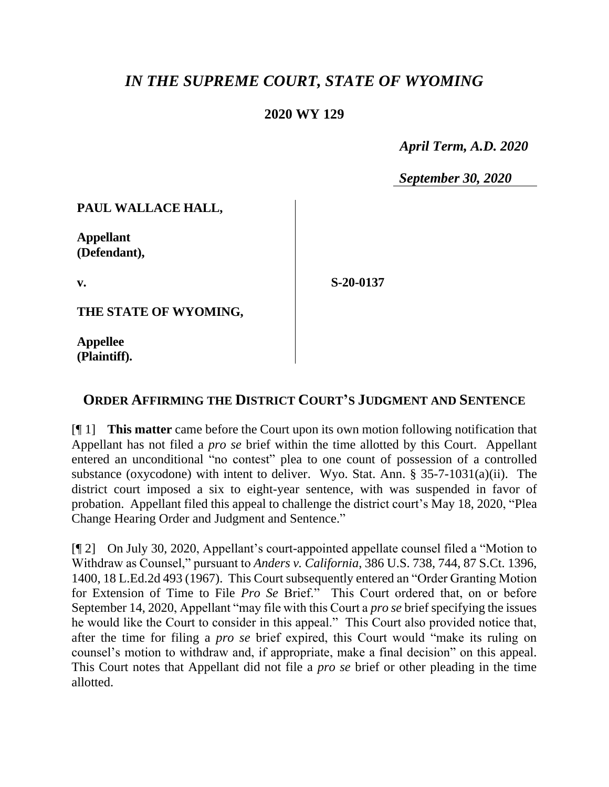## *IN THE SUPREME COURT, STATE OF WYOMING*

## **2020 WY 129**

 *April Term, A.D. 2020*

*September 30, 2020*

**PAUL WALLACE HALL,**

**Appellant (Defendant),**

**v.**

**S-20-0137**

**THE STATE OF WYOMING,**

**Appellee (Plaintiff).**

## **ORDER AFFIRMING THE DISTRICT COURT'S JUDGMENT AND SENTENCE**

[¶ 1] **This matter** came before the Court upon its own motion following notification that Appellant has not filed a *pro se* brief within the time allotted by this Court. Appellant entered an unconditional "no contest" plea to one count of possession of a controlled substance (oxycodone) with intent to deliver. Wyo. Stat. Ann. § 35-7-1031(a)(ii). The district court imposed a six to eight-year sentence, with was suspended in favor of probation. Appellant filed this appeal to challenge the district court's May 18, 2020, "Plea Change Hearing Order and Judgment and Sentence."

[¶ 2] On July 30, 2020, Appellant's court-appointed appellate counsel filed a "Motion to Withdraw as Counsel," pursuant to *Anders v. California*, 386 U.S. 738, 744, 87 S.Ct. 1396, 1400, 18 L.Ed.2d 493 (1967). This Court subsequently entered an "Order Granting Motion for Extension of Time to File *Pro Se* Brief." This Court ordered that, on or before September 14, 2020, Appellant "may file with this Court a *pro se* brief specifying the issues he would like the Court to consider in this appeal." This Court also provided notice that, after the time for filing a *pro se* brief expired, this Court would "make its ruling on counsel's motion to withdraw and, if appropriate, make a final decision" on this appeal. This Court notes that Appellant did not file a *pro se* brief or other pleading in the time allotted.